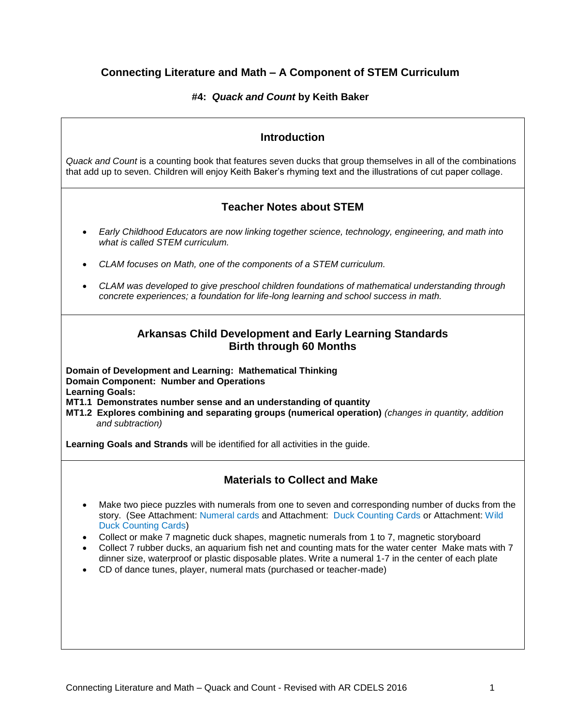# **Connecting Literature and Math – A Component of STEM Curriculum**

## **#4:** *Quack and Count* **by Keith Baker**

# **Introduction** *Quack and Count* is a counting book that features seven ducks that group themselves in all of the combinations that add up to seven. Children will enjoy Keith Baker's rhyming text and the illustrations of cut paper collage. **Teacher Notes about STEM** *Early Childhood Educators are now linking together science, technology, engineering, and math into what is called STEM curriculum. CLAM focuses on Math, one of the components of a STEM curriculum. CLAM was developed to give preschool children foundations of mathematical understanding through concrete experiences; a foundation for life-long learning and school success in math.* **Arkansas Child Development and Early Learning Standards Birth through 60 Months Domain of Development and Learning: Mathematical Thinking Domain Component: Number and Operations Learning Goals: MT1.1 Demonstrates number sense and an understanding of quantity MT1.2 Explores combining and separating groups (numerical operation)** *(changes in quantity, addition and subtraction)* **Learning Goals and Strands** will be identified for all activities in the guide. **Materials to Collect and Make** Make two piece puzzles with numerals from one to seven and corresponding number of ducks from the story. (See Attachment: Numeral cards and Attachment: Duck Counting Cards or Attachment: Wild Duck Counting Cards) Collect or make 7 magnetic duck shapes, magnetic numerals from 1 to 7, magnetic storyboard Collect 7 rubber ducks, an aquarium fish net and counting mats for the water center Make mats with 7 dinner size, waterproof or plastic disposable plates. Write a numeral 1-7 in the center of each plate CD of dance tunes, player, numeral mats (purchased or teacher-made)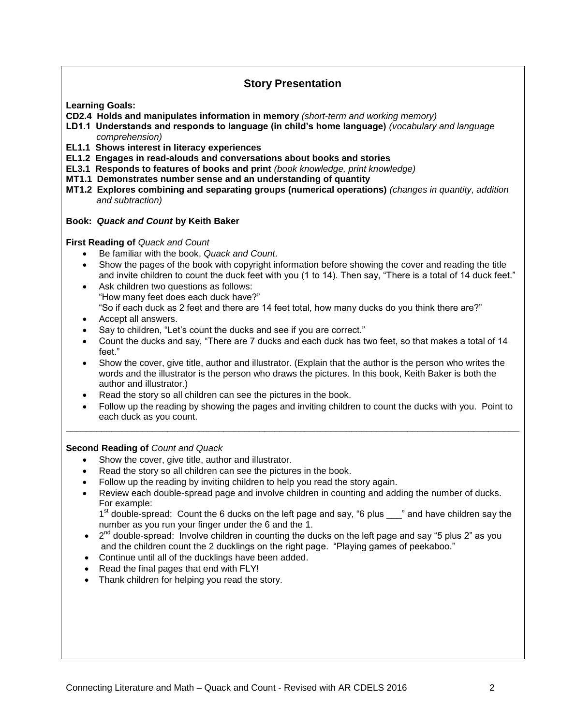## **Story Presentation**

**Learning Goals:**

**CD2.4 Holds and manipulates information in memory** *(short-term and working memory)*

- **LD1.1 Understands and responds to language (in child's home language)** *(vocabulary and language comprehension)*
- **EL1.1 Shows interest in literacy experiences**
- **EL1.2 Engages in read-alouds and conversations about books and stories**
- **EL3.1 Responds to features of books and print** *(book knowledge, print knowledge)*
- **MT1.1 Demonstrates number sense and an understanding of quantity**
- **MT1.2 Explores combining and separating groups (numerical operations)** *(changes in quantity, addition and subtraction)*

#### **Book:** *Quack and Count* **by Keith Baker**

**First Reading of** *Quack and Count*

- Be familiar with the book, *Quack and Count*.
- Show the pages of the book with copyright information before showing the cover and reading the title and invite children to count the duck feet with you (1 to 14). Then say, "There is a total of 14 duck feet."
- Ask children two questions as follows: "How many feet does each duck have?" "So if each duck as 2 feet and there are 14 feet total, how many ducks do you think there are?"
- Accept all answers.
- Say to children, "Let's count the ducks and see if you are correct."
- Count the ducks and say, "There are 7 ducks and each duck has two feet, so that makes a total of 14 feet."
- Show the cover, give title, author and illustrator. (Explain that the author is the person who writes the words and the illustrator is the person who draws the pictures. In this book, Keith Baker is both the author and illustrator.)
- Read the story so all children can see the pictures in the book.
- Follow up the reading by showing the pages and inviting children to count the ducks with you. Point to each duck as you count.

\_\_\_\_\_\_\_\_\_\_\_\_\_\_\_\_\_\_\_\_\_\_\_\_\_\_\_\_\_\_\_\_\_\_\_\_\_\_\_\_\_\_\_\_\_\_\_\_\_\_\_\_\_\_\_\_\_\_\_\_\_\_\_\_\_\_\_\_\_\_\_\_\_\_\_\_\_\_\_\_\_\_\_\_\_\_\_\_\_

## **Second Reading of** *Count and Quack*

- Show the cover, give title, author and illustrator.
- Read the story so all children can see the pictures in the book.
- Follow up the reading by inviting children to help you read the story again.
- Review each double-spread page and involve children in counting and adding the number of ducks. For example:

1<sup>st</sup> double-spread: Count the 6 ducks on the left page and say, "6 plus \_\_\_" and have children say the number as you run your finger under the 6 and the 1.

- $\bullet$   $2^{nd}$  double-spread: Involve children in counting the ducks on the left page and say "5 plus 2" as you and the children count the 2 ducklings on the right page. "Playing games of peekaboo."
- Continue until all of the ducklings have been added.
- Read the final pages that end with FLY!
- Thank children for helping you read the story.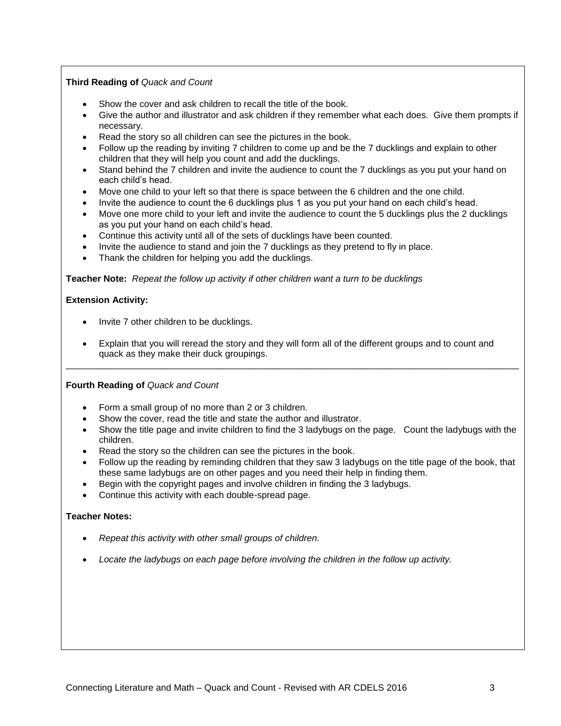## **Third Reading of** *Quack and Count*

- Show the cover and ask children to recall the title of the book.
- Give the author and illustrator and ask children if they remember what each does. Give them prompts if necessary.
- Read the story so all children can see the pictures in the book.
- Follow up the reading by inviting 7 children to come up and be the 7 ducklings and explain to other children that they will help you count and add the ducklings.
- Stand behind the 7 children and invite the audience to count the 7 ducklings as you put your hand on each child's head.
- Move one child to your left so that there is space between the 6 children and the one child.
- Invite the audience to count the 6 ducklings plus 1 as you put your hand on each child's head.
- Move one more child to your left and invite the audience to count the 5 ducklings plus the 2 ducklings as you put your hand on each child's head.
- Continue this activity until all of the sets of ducklings have been counted.
- Invite the audience to stand and join the 7 ducklings as they pretend to fly in place.
- Thank the children for helping you add the ducklings.

**Teacher Note:** *Repeat the follow up activity if other children want a turn to be ducklings*

#### **Extension Activity:**

- Invite 7 other children to be ducklings.
- Explain that you will reread the story and they will form all of the different groups and to count and quack as they make their duck groupings.

\_\_\_\_\_\_\_\_\_\_\_\_\_\_\_\_\_\_\_\_\_\_\_\_\_\_\_\_\_\_\_\_\_\_\_\_\_\_\_\_\_\_\_\_\_\_\_\_\_\_\_\_\_\_\_\_\_\_\_\_\_\_\_\_\_\_\_\_\_\_\_\_\_\_\_\_\_\_\_\_\_\_\_\_\_\_\_\_\_

**Fourth Reading of** *Quack and Count*

- Form a small group of no more than 2 or 3 children.
- Show the cover, read the title and state the author and illustrator.
- Show the title page and invite children to find the 3 ladybugs on the page. Count the ladybugs with the children.
- Read the story so the children can see the pictures in the book.
- Follow up the reading by reminding children that they saw 3 ladybugs on the title page of the book, that these same ladybugs are on other pages and you need their help in finding them.
- Begin with the copyright pages and involve children in finding the 3 ladybugs.
- Continue this activity with each double-spread page.

#### **Teacher Notes:**

- *Repeat this activity with other small groups of children.*
- *Locate the ladybugs on each page before involving the children in the follow up activity.*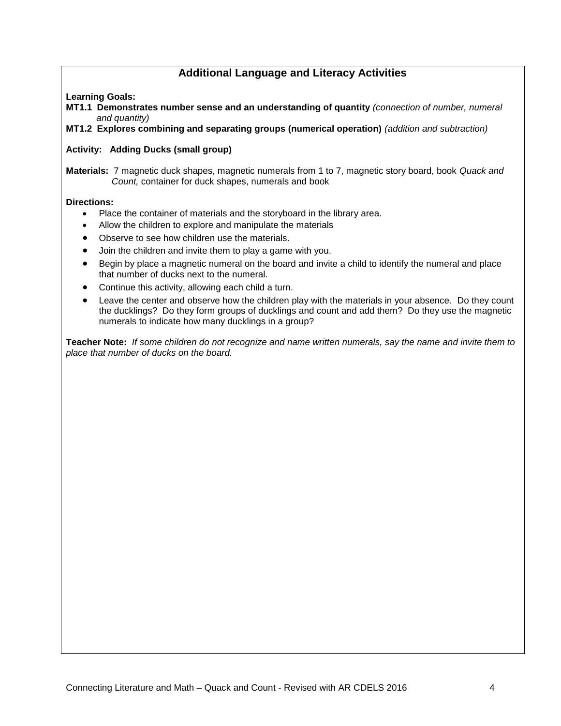# **Additional Language and Literacy Activities**

## **Learning Goals:**

**MT1.1 Demonstrates number sense and an understanding of quantity** *(connection of number, numeral and quantity)*

**MT1.2 Explores combining and separating groups (numerical operation)** *(addition and subtraction)*

## **Activity: Adding Ducks (small group)**

**Materials:** 7 magnetic duck shapes, magnetic numerals from 1 to 7, magnetic story board, book *Quack and Count,* container for duck shapes, numerals and book

#### **Directions:**

- Place the container of materials and the storyboard in the library area.
- Allow the children to explore and manipulate the materials
- Observe to see how children use the materials.
- Join the children and invite them to play a game with you.
- Begin by place a magnetic numeral on the board and invite a child to identify the numeral and place that number of ducks next to the numeral.
- Continue this activity, allowing each child a turn.
- Leave the center and observe how the children play with the materials in your absence. Do they count the ducklings? Do they form groups of ducklings and count and add them? Do they use the magnetic numerals to indicate how many ducklings in a group?

**Teacher Note:** *If some children do not recognize and name written numerals, say the name and invite them to place that number of ducks on the board.*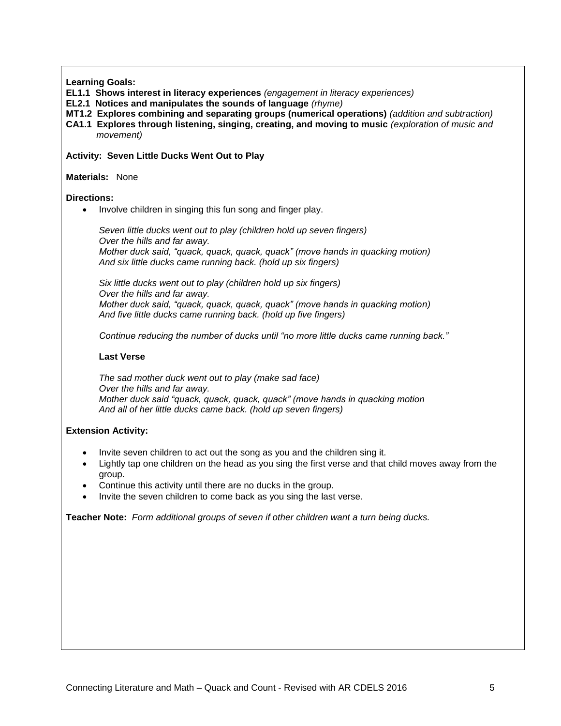**Learning Goals:**

- **EL1.1 Shows interest in literacy experiences** *(engagement in literacy experiences)*
- **EL2.1 Notices and manipulates the sounds of language** *(rhyme)*
- **MT1.2 Explores combining and separating groups (numerical operations)** *(addition and subtraction)*
- **CA1.1 Explores through listening, singing, creating, and moving to music** *(exploration of music and movement)*

#### **Activity: Seven Little Ducks Went Out to Play**

#### **Materials:** None

#### **Directions:**

• Involve children in singing this fun song and finger play.

*Seven little ducks went out to play (children hold up seven fingers) Over the hills and far away. Mother duck said, "quack, quack, quack, quack" (move hands in quacking motion) And six little ducks came running back. (hold up six fingers)*

*Six little ducks went out to play (children hold up six fingers) Over the hills and far away. Mother duck said, "quack, quack, quack, quack" (move hands in quacking motion) And five little ducks came running back. (hold up five fingers)*

*Continue reducing the number of ducks until "no more little ducks came running back."*

#### **Last Verse**

*The sad mother duck went out to play (make sad face) Over the hills and far away. Mother duck said "quack, quack, quack, quack" (move hands in quacking motion And all of her little ducks came back. (hold up seven fingers)*

#### **Extension Activity:**

- Invite seven children to act out the song as you and the children sing it.
- Lightly tap one children on the head as you sing the first verse and that child moves away from the group.
- Continue this activity until there are no ducks in the group.
- Invite the seven children to come back as you sing the last verse.

**Teacher Note:** *Form additional groups of seven if other children want a turn being ducks.*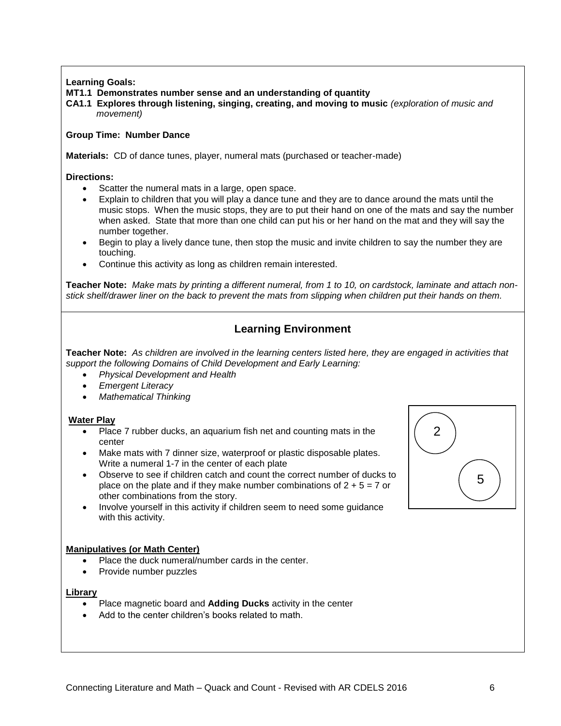## **Learning Goals:**

#### **MT1.1 Demonstrates number sense and an understanding of quantity**

**CA1.1 Explores through listening, singing, creating, and moving to music** *(exploration of music and movement)*

#### **Group Time: Number Dance**

**Materials:** CD of dance tunes, player, numeral mats (purchased or teacher-made)

#### **Directions:**

- Scatter the numeral mats in a large, open space.
- Explain to children that you will play a dance tune and they are to dance around the mats until the music stops. When the music stops, they are to put their hand on one of the mats and say the number when asked. State that more than one child can put his or her hand on the mat and they will say the number together.
- Begin to play a lively dance tune, then stop the music and invite children to say the number they are touching.
- Continue this activity as long as children remain interested.

**Teacher Note:** *Make mats by printing a different numeral, from 1 to 10, on cardstock, laminate and attach nonstick shelf/drawer liner on the back to prevent the mats from slipping when children put their hands on them.*

# **Learning Environment**

**Teacher Note:** *As children are involved in the learning centers listed here, they are engaged in activities that support the following Domains of Child Development and Early Learning:*

- *Physical Development and Health*
- *Emergent Literacy*
- *Mathematical Thinking*

#### **Water Play**

- Place 7 rubber ducks, an aquarium fish net and counting mats in the center
- Make mats with 7 dinner size, waterproof or plastic disposable plates. Write a numeral 1-7 in the center of each plate
- Observe to see if children catch and count the correct number of ducks to place on the plate and if they make number combinations of  $2 + 5 = 7$  or other combinations from the story.
- Involve yourself in this activity if children seem to need some guidance with this activity.

## **Manipulatives (or Math Center)**

- Place the duck numeral/number cards in the center.
- Provide number puzzles

#### **Library**

- Place magnetic board and **Adding Ducks** activity in the center
- Add to the center children's books related to math.